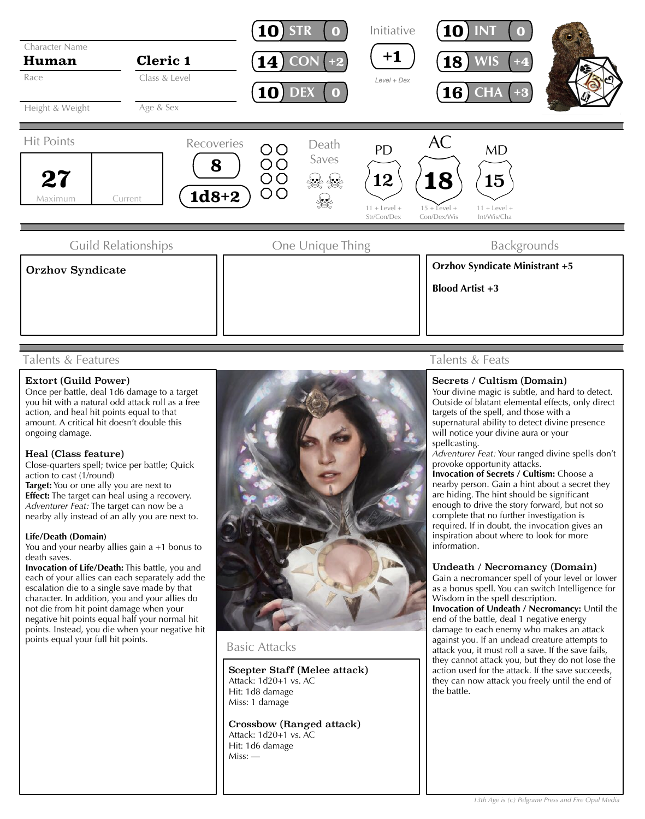

## Talents & Features

### Extort (Guild Power)

Once per battle, deal 1d6 damage to a target you hit with a natural odd attack roll as a free action, and heal hit points equal to that amount. A critical hit doesn't double this ongoing damage.

### Heal (Class feature)

Close-quarters spell; twice per battle; Quick action to cast (1/round) **Target:** You or one ally you are next to **Effect:** The target can heal using a recovery. *Adventurer Feat:* The target can now be a

nearby ally instead of an ally you are next to.

#### **Life/Death (Domain)**

You and your nearby allies gain a +1 bonus to death saves.

**Invocation of Life/Death:** This battle, you and each of your allies can each separately add the escalation die to a single save made by that character. In addition, you and your allies do not die from hit point damage when your negative hit points equal half your normal hit points. Instead, you die when your negative hit points equal your full hit points.



### Basic Attacks

Scepter Staff (Melee attack) Attack: 1d20+1 vs. AC Hit: 1d8 damage Miss: 1 damage

Crossbow (Ranged attack) Attack: 1d20+1 vs. AC Hit: 1d6 damage Miss: —

# Talents & Feats

#### Secrets / Cultism (Domain)

Your divine magic is subtle, and hard to detect. Outside of blatant elemental effects, only direct targets of the spell, and those with a supernatural ability to detect divine presence will notice your divine aura or your spellcasting.

*Adventurer Feat:* Your ranged divine spells don't provoke opportunity attacks.

**Invocation of Secrets / Cultism:** Choose a nearby person. Gain a hint about a secret they are hiding. The hint should be significant enough to drive the story forward, but not so complete that no further investigation is required. If in doubt, the invocation gives an inspiration about where to look for more information.

#### Undeath / Necromancy (Domain)

Gain a necromancer spell of your level or lower as a bonus spell. You can switch Intelligence for Wisdom in the spell description.

**Invocation of Undeath / Necromancy:** Until the end of the battle, deal 1 negative energy damage to each enemy who makes an attack against you. If an undead creature attempts to attack you, it must roll a save. If the save fails, they cannot attack you, but they do not lose the action used for the attack. If the save succeeds, they can now attack you freely until the end of the battle.